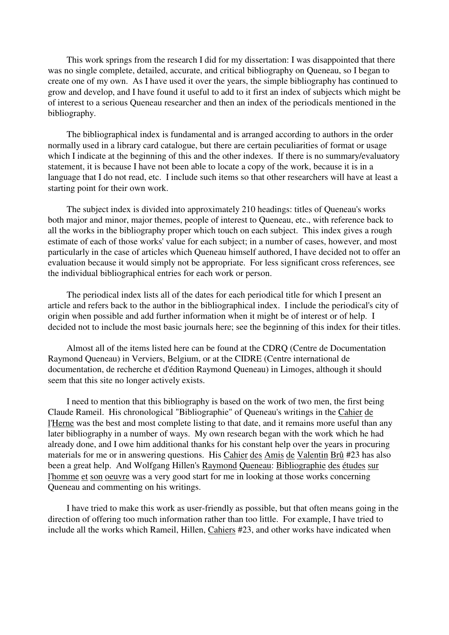This work springs from the research I did for my dissertation: I was disappointed that there was no single complete, detailed, accurate, and critical bibliography on Queneau, so I began to create one of my own. As I have used it over the years, the simple bibliography has continued to grow and develop, and I have found it useful to add to it first an index of subjects which might be of interest to a serious Queneau researcher and then an index of the periodicals mentioned in the bibliography.

The bibliographical index is fundamental and is arranged according to authors in the order normally used in a library card catalogue, but there are certain peculiarities of format or usage which I indicate at the beginning of this and the other indexes. If there is no summary/evaluatory statement, it is because I have not been able to locate a copy of the work, because it is in a language that I do not read, etc. I include such items so that other researchers will have at least a starting point for their own work.

The subject index is divided into approximately 210 headings: titles of Queneau's works both major and minor, major themes, people of interest to Queneau, etc., with reference back to all the works in the bibliography proper which touch on each subject. This index gives a rough estimate of each of those works' value for each subject; in a number of cases, however, and most particularly in the case of articles which Queneau himself authored, I have decided not to offer an evaluation because it would simply not be appropriate. For less significant cross references, see the individual bibliographical entries for each work or person.

The periodical index lists all of the dates for each periodical title for which I present an article and refers back to the author in the bibliographical index. I include the periodical's city of origin when possible and add further information when it might be of interest or of help. I decided not to include the most basic journals here; see the beginning of this index for their titles.

Almost all of the items listed here can be found at the CDRQ (Centre de Documentation Raymond Queneau) in Verviers, Belgium, or at the CIDRE (Centre international de documentation, de recherche et d'édition Raymond Queneau) in Limoges, although it should seem that this site no longer actively exists.

I need to mention that this bibliography is based on the work of two men, the first being Claude Rameil. His chronological "Bibliographie" of Queneau's writings in the Cahier de l'Herne was the best and most complete listing to that date, and it remains more useful than any later bibliography in a number of ways. My own research began with the work which he had already done, and I owe him additional thanks for his constant help over the years in procuring materials for me or in answering questions. His Cahier des Amis de Valentin Brû #23 has also been a great help. And Wolfgang Hillen's Raymond Queneau: Bibliographie des études sur l'homme et son oeuvre was a very good start for me in looking at those works concerning Queneau and commenting on his writings.

I have tried to make this work as user-friendly as possible, but that often means going in the direction of offering too much information rather than too little. For example, I have tried to include all the works which Rameil, Hillen, Cahiers #23, and other works have indicated when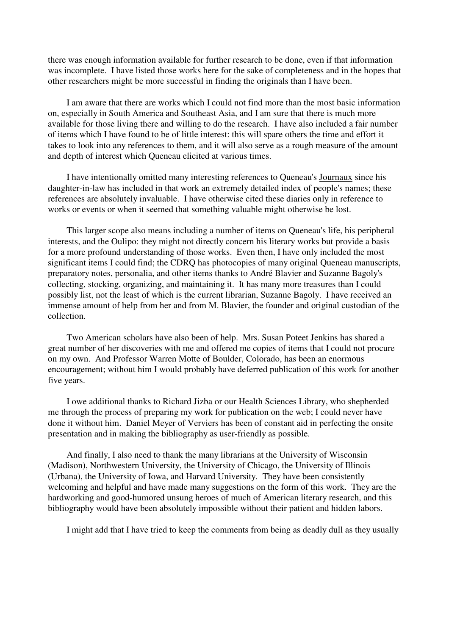there was enough information available for further research to be done, even if that information was incomplete. I have listed those works here for the sake of completeness and in the hopes that other researchers might be more successful in finding the originals than I have been.

I am aware that there are works which I could not find more than the most basic information on, especially in South America and Southeast Asia, and I am sure that there is much more available for those living there and willing to do the research. I have also included a fair number of items which I have found to be of little interest: this will spare others the time and effort it takes to look into any references to them, and it will also serve as a rough measure of the amount and depth of interest which Queneau elicited at various times.

I have intentionally omitted many interesting references to Queneau's Journaux since his daughter-in-law has included in that work an extremely detailed index of people's names; these references are absolutely invaluable. I have otherwise cited these diaries only in reference to works or events or when it seemed that something valuable might otherwise be lost.

This larger scope also means including a number of items on Queneau's life, his peripheral interests, and the Oulipo: they might not directly concern his literary works but provide a basis for a more profound understanding of those works. Even then, I have only included the most significant items I could find; the CDRQ has photocopies of many original Queneau manuscripts, preparatory notes, personalia, and other items thanks to André Blavier and Suzanne Bagoly's collecting, stocking, organizing, and maintaining it. It has many more treasures than I could possibly list, not the least of which is the current librarian, Suzanne Bagoly. I have received an immense amount of help from her and from M. Blavier, the founder and original custodian of the collection.

Two American scholars have also been of help. Mrs. Susan Poteet Jenkins has shared a great number of her discoveries with me and offered me copies of items that I could not procure on my own. And Professor Warren Motte of Boulder, Colorado, has been an enormous encouragement; without him I would probably have deferred publication of this work for another five years.

I owe additional thanks to Richard Jizba or our Health Sciences Library, who shepherded me through the process of preparing my work for publication on the web; I could never have done it without him. Daniel Meyer of Verviers has been of constant aid in perfecting the onsite presentation and in making the bibliography as user-friendly as possible.

And finally, I also need to thank the many librarians at the University of Wisconsin (Madison), Northwestern University, the University of Chicago, the University of Illinois (Urbana), the University of Iowa, and Harvard University. They have been consistently welcoming and helpful and have made many suggestions on the form of this work. They are the hardworking and good-humored unsung heroes of much of American literary research, and this bibliography would have been absolutely impossible without their patient and hidden labors.

I might add that I have tried to keep the comments from being as deadly dull as they usually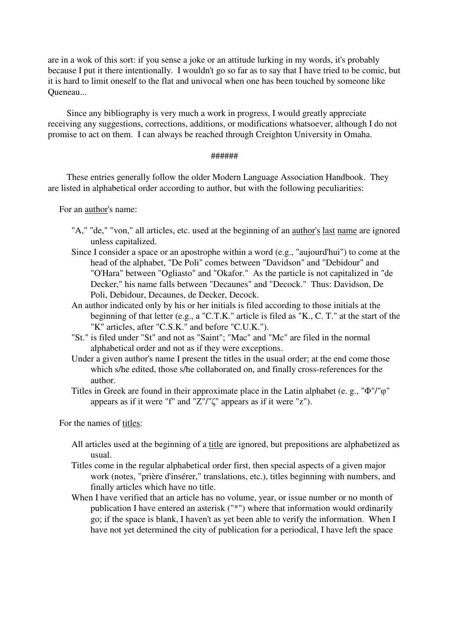are in a wok of this sort: if you sense a joke or an attitude lurking in my words, it's probably because I put it there intentionally. I wouldn't go so far as to say that I have tried to be comic, but it is hard to limit oneself to the flat and univocal when one has been touched by someone like Queneau...

Since any bibliography is very much a work in progress, I would greatly appreciate receiving any suggestions, corrections, additions, or modifications whatsoever, although I do not promise to act on them. I can always be reached through Creighton University in Omaha.

## ######

These entries generally follow the older Modern Language Association Handbook. They are listed in alphabetical order according to author, but with the following peculiarities:

For an author's name:

- "A," "de," "von," all articles, etc. used at the beginning of an <u>author's last name</u> are ignored unless capitalized.
- Since I consider a space or an apostrophe within a word (e.g., "aujourd'hui") to come at the head of the alphabet, "De Poli" comes between "Davidson" and "Debidour" and "O'Hara" between "Ogliasto" and "Okafor." As the particle is not capitalized in "de Decker," his name falls between "Decaunes" and "Decock." Thus: Davidson, De Poli, Debidour, Decaunes, de Decker, Decock.
- An author indicated only by his or her initials is filed according to those initials at the beginning of that letter (e.g., a "C.T.K." article is filed as "K., C. T." at the start of the "K" articles, after "C.S.K." and before "C.U.K.").
- "St." is filed under "St" and not as "Saint"; "Mac" and "Mc" are filed in the normal alphabetical order and not as if they were exceptions.
- Under a given author's name I present the titles in the usual order; at the end come those which s/he edited, those s/he collaborated on, and finally cross-references for the author.

Titles in Greek are found in their approximate place in the Latin alphabet (e. g., "Φ"/"φ" appears as if it were "f" and "Ζ"/"ζ" appears as if it were "z").

For the names of titles:

- All articles used at the beginning of a title are ignored, but prepositions are alphabetized as usual.
- Titles come in the regular alphabetical order first, then special aspects of a given major work (notes, "prière d'insérer," translations, etc.), titles beginning with numbers, and finally articles which have no title.
- When I have verified that an article has no volume, year, or issue number or no month of publication I have entered an asterisk ("\*") where that information would ordinarily go; if the space is blank, I haven't as yet been able to verify the information. When I have not yet determined the city of publication for a periodical, I have left the space